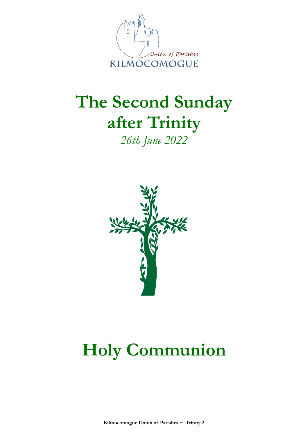

# **The Second Sunday after Trinity**

*26th June 2022*



# **Holy Communion**

**Kilmocomogue Union of Parishes ~ Trinity 2**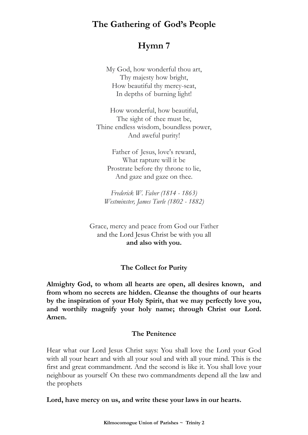# **The Gathering of God's People**

# **Hymn 7**

My God, how wonderful thou art, Thy majesty how bright, How beautiful thy mercy-seat, In depths of burning light!

How wonderful, how beautiful, The sight of thee must be, Thine endless wisdom, boundless power, And aweful purity!

Father of Jesus, love's reward, What rapture will it be Prostrate before thy throne to lie, And gaze and gaze on thee.

*Frederick W. Faber (1814 - 1863) Westminster, James Turle (1802 - 1882)* 

Grace, mercy and peace from God our Father and the Lord Jesus Christ be with you all **and also with you.**

#### **The Collect for Purity**

**Almighty God, to whom all hearts are open, all desires known, and from whom no secrets are hidden. Cleanse the thoughts of our hearts by the inspiration of your Holy Spirit, that we may perfectly love you, and worthily magnify your holy name; through Christ our Lord. Amen.** 

#### **The Penitence**

Hear what our Lord Jesus Christ says: You shall love the Lord your God with all your heart and with all your soul and with all your mind. This is the first and great commandment. And the second is like it. You shall love your neighbour as yourself On these two commandments depend all the law and the prophets

**Lord, have mercy on us, and write these your laws in our hearts.**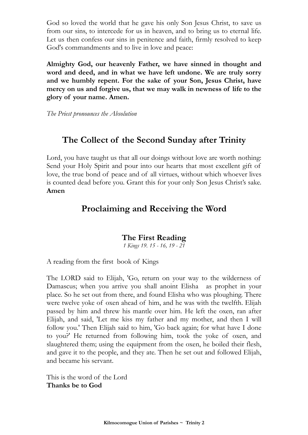God so loved the world that he gave his only Son Jesus Christ, to save us from our sins, to intercede for us in heaven, and to bring us to eternal life. Let us then confess our sins in penitence and faith, firmly resolved to keep God's commandments and to live in love and peace:

**Almighty God, our heavenly Father, we have sinned in thought and word and deed, and in what we have left undone. We are truly sorry and we humbly repent. For the sake of your Son, Jesus Christ, have mercy on us and forgive us, that we may walk in newness of life to the glory of your name. Amen.** 

*The Priest pronounces the Absolution* 

# **The Collect of the Second Sunday after Trinity**

Lord, you have taught us that all our doings without love are worth nothing: Send your Holy Spirit and pour into our hearts that most excellent gift of love, the true bond of peace and of all virtues, without which whoever lives is counted dead before you. Grant this for your only Son Jesus Christ's sake. **Amen** 

## **Proclaiming and Receiving the Word**

#### **The First Reading**

*1 Kings 19. 15 - 16, 19 - 21*

A reading from the first book of Kings

The LORD said to Elijah, 'Go, return on your way to the wilderness of Damascus; when you arrive you shall anoint Elisha as prophet in your place. So he set out from there, and found Elisha who was ploughing. There were twelve yoke of oxen ahead of him, and he was with the twelfth. Elijah passed by him and threw his mantle over him. He left the oxen, ran after Elijah, and said, 'Let me kiss my father and my mother, and then I will follow you.' Then Elijah said to him, 'Go back again; for what have I done to you?' He returned from following him, took the yoke of oxen, and slaughtered them; using the equipment from the oxen, he boiled their flesh, and gave it to the people, and they ate. Then he set out and followed Elijah, and became his servant.

This is the word of the Lord **Thanks be to God**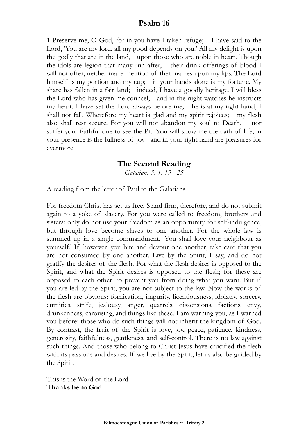#### **Psalm 16**

1 Preserve me, O God, for in you have I taken refuge; I have said to the Lord, 'You are my lord, all my good depends on you.' All my delight is upon the godly that are in the land, upon those who are noble in heart. Though the idols are legion that many run after, their drink offerings of blood I will not offer, neither make mention of their names upon my lips. The Lord himself is my portion and my cup; in your hands alone is my fortune. My share has fallen in a fair land; indeed, I have a goodly heritage. I will bless the Lord who has given me counsel, and in the night watches he instructs my heart. I have set the Lord always before me; he is at my right hand; I shall not fall. Wherefore my heart is glad and my spirit rejoices; my flesh also shall rest secure. For you will not abandon my soul to Death, suffer your faithful one to see the Pit. You will show me the path of life; in your presence is the fullness of joy and in your right hand are pleasures for evermore.

#### **The Second Reading**

*Galatians 5. 1, 13 - 25*

A reading from the letter of Paul to the Galatians

For freedom Christ has set us free. Stand firm, therefore, and do not submit again to a yoke of slavery. For you were called to freedom, brothers and sisters; only do not use your freedom as an opportunity for self-indulgence, but through love become slaves to one another. For the whole law is summed up in a single commandment, 'You shall love your neighbour as yourself.' If, however, you bite and devour one another, take care that you are not consumed by one another. Live by the Spirit, I say, and do not gratify the desires of the flesh. For what the flesh desires is opposed to the Spirit, and what the Spirit desires is opposed to the flesh; for these are opposed to each other, to prevent you from doing what you want. But if you are led by the Spirit, you are not subject to the law. Now the works of the flesh are obvious: fornication, impurity, licentiousness, idolatry, sorcery, enmities, strife, jealousy, anger, quarrels, dissensions, factions, envy, drunkenness, carousing, and things like these. I am warning you, as I warned you before: those who do such things will not inherit the kingdom of God. By contrast, the fruit of the Spirit is love, joy, peace, patience, kindness, generosity, faithfulness, gentleness, and self-control. There is no law against such things. And those who belong to Christ Jesus have crucified the flesh with its passions and desires. If we live by the Spirit, let us also be guided by the Spirit.

This is the Word of the Lord **Thanks be to God**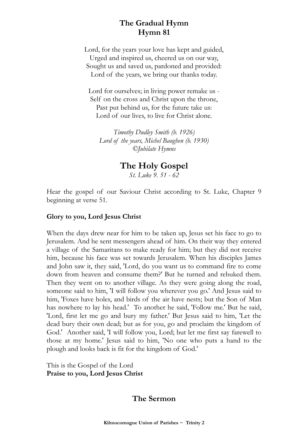### **The Gradual Hymn Hymn 81**

Lord, for the years your love has kept and guided, Urged and inspired us, cheered us on our way, Sought us and saved us, pardoned and provided: Lord of the years, we bring our thanks today.

Lord for ourselves; in living power remake us - Self on the cross and Christ upon the throne, Past put behind us, for the future take us: Lord of our lives, to live for Christ alone.

*Timothy Dudley Smith (b. 1926) Lord of the years, Michel Baughen (b. 1930) ©Jubilate Hymns* 

**The Holy Gospel**

*St. Luke 9. 51 - 62* 

Hear the gospel of our Saviour Christ according to St. Luke, Chapter 9 beginning at verse 51.

#### **Glory to you, Lord Jesus Christ**

When the days drew near for him to be taken up, Jesus set his face to go to Jerusalem. And he sent messengers ahead of him. On their way they entered a village of the Samaritans to make ready for him; but they did not receive him, because his face was set towards Jerusalem. When his disciples James and John saw it, they said, 'Lord, do you want us to command fire to come down from heaven and consume them?' But he turned and rebuked them. Then they went on to another village. As they were going along the road, someone said to him, 'I will follow you wherever you go.' And Jesus said to him, 'Foxes have holes, and birds of the air have nests; but the Son of Man has nowhere to lay his head.' To another he said, 'Follow me.' But he said, 'Lord, first let me go and bury my father.' But Jesus said to him, 'Let the dead bury their own dead; but as for you, go and proclaim the kingdom of God.' Another said, 'I will follow you, Lord; but let me first say farewell to those at my home.' Jesus said to him, 'No one who puts a hand to the plough and looks back is fit for the kingdom of God.'

This is the Gospel of the Lord **Praise to you, Lord Jesus Christ** 

#### **The Sermon**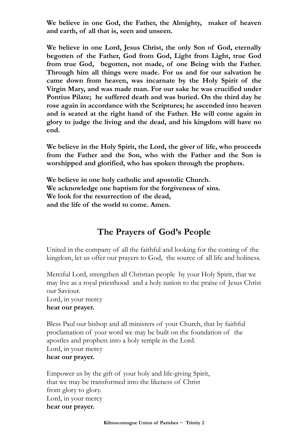**We believe in one God, the Father, the Almighty, maker of heaven and earth, of all that is, seen and unseen.** 

**We believe in one Lord, Jesus Christ, the only Son of God, eternally begotten of the Father, God from God, Light from Light, true God from true God, begotten, not made, of one Being with the Father. Through him all things were made. For us and for our salvation he came down from heaven, was incarnate by the Holy Spirit of the Virgin Mary, and was made man. For our sake he was crucified under Pontius Pilate; he suffered death and was buried. On the third day he rose again in accordance with the Scriptures; he ascended into heaven and is seated at the right hand of the Father. He will come again in glory to judge the living and the dead, and his kingdom will have no end.** 

**We believe in the Holy Spirit, the Lord, the giver of life, who proceeds from the Father and the Son, who with the Father and the Son is worshipped and glorified, who has spoken through the prophets.** 

**We believe in one holy catholic and apostolic Church. We acknowledge one baptism for the forgiveness of sins. We look for the resurrection of the dead, and the life of the world to come. Amen.** 

# **The Prayers of God's People**

United in the company of all the faithful and looking for the coming of the kingdom, let us offer our prayers to God, the source of all life and holiness.

Merciful Lord, strengthen all Christian people by your Holy Spirit, that we may live as a royal priesthood and a holy nation to the praise of Jesus Christ our Saviour.

Lord, in your mercy **hear our prayer.** 

Bless Paul our bishop and all ministers of your Church, that by faithful proclamation of your word we may be built on the foundation of the apostles and prophets into a holy temple in the Lord. Lord, in your mercy **hear our prayer.** 

Empower us by the gift of your holy and life-giving Spirit, that we may be transformed into the likeness of Christ from glory to glory. Lord, in your mercy **hear our prayer.**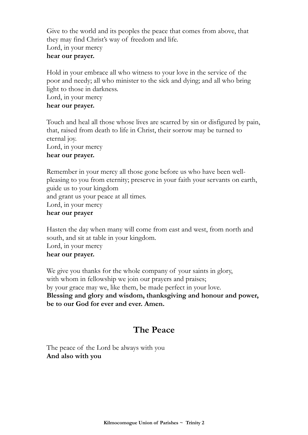Give to the world and its peoples the peace that comes from above, that they may find Christ's way of freedom and life. Lord, in your mercy **hear our prayer.** 

Hold in your embrace all who witness to your love in the service of the poor and needy; all who minister to the sick and dying; and all who bring light to those in darkness.

Lord, in your mercy

#### **hear our prayer.**

Touch and heal all those whose lives are scarred by sin or disfigured by pain, that, raised from death to life in Christ, their sorrow may be turned to eternal joy. Lord, in your mercy **hear our prayer.** 

Remember in your mercy all those gone before us who have been wellpleasing to you from eternity; preserve in your faith your servants on earth, guide us to your kingdom and grant us your peace at all times. Lord, in your mercy **hear our prayer** 

Hasten the day when many will come from east and west, from north and south, and sit at table in your kingdom. Lord, in your mercy

# **hear our prayer.**

We give you thanks for the whole company of your saints in glory, with whom in fellowship we join our prayers and praises; by your grace may we, like them, be made perfect in your love. **Blessing and glory and wisdom, thanksgiving and honour and power, be to our God for ever and ever. Amen.** 

# **The Peace**

The peace of the Lord be always with you **And also with you**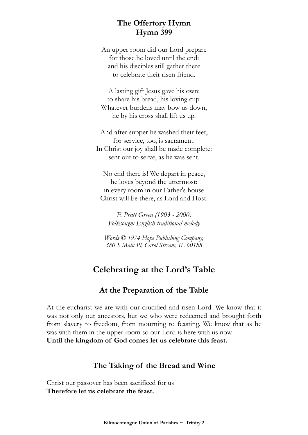#### **The Offertory Hymn Hymn 399**

An upper room did our Lord prepare for those he loved until the end: and his disciples still gather there to celebrate their risen friend.

A lasting gift Jesus gave his own: to share his bread, his loving cup. Whatever burdens may bow us down, he by his cross shall lift us up.

And after supper he washed their feet, for service, too, is sacrament. In Christ our joy shall be made complete: sent out to serve, as he was sent.

No end there is! We depart in peace, he loves beyond the uttermost: in every room in our Father's house Christ will be there, as Lord and Host.

*F. Pratt Green (1903 - 2000) Folksongm English traditional melody* 

*Words © 1974 Hope Publishing Company, 380 S Main Pl, Carol Stream, IL 60188* 

# **Celebrating at the Lord's Table**

### **At the Preparation of the Table**

At the eucharist we are with our crucified and risen Lord. We know that it was not only our ancestors, but we who were redeemed and brought forth from slavery to freedom, from mourning to feasting. We know that as he was with them in the upper room so our Lord is here with us now. **Until the kingdom of God comes let us celebrate this feast.** 

### **The Taking of the Bread and Wine**

Christ our passover has been sacrificed for us **Therefore let us celebrate the feast.**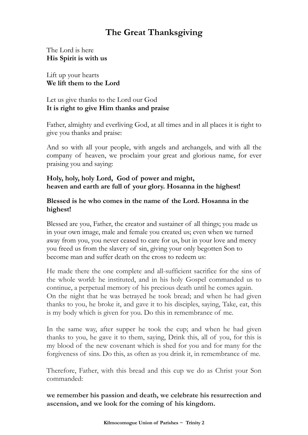# **The Great Thanksgiving**

The Lord is here **His Spirit is with us** 

Lift up your hearts **We lift them to the Lord** 

Let us give thanks to the Lord our God **It is right to give Him thanks and praise** 

Father, almighty and everliving God, at all times and in all places it is right to give you thanks and praise:

And so with all your people, with angels and archangels, and with all the company of heaven, we proclaim your great and glorious name, for ever praising you and saying:

#### **Holy, holy, holy Lord, God of power and might, heaven and earth are full of your glory. Hosanna in the highest!**

#### **Blessed is he who comes in the name of the Lord. Hosanna in the highest!**

Blessed are you, Father, the creator and sustainer of all things; you made us in your own image, male and female you created us; even when we turned away from you, you never ceased to care for us, but in your love and mercy you freed us from the slavery of sin, giving your only begotten Son to become man and suffer death on the cross to redeem us:

He made there the one complete and all-sufficient sacrifice for the sins of the whole world: he instituted, and in his holy Gospel commanded us to continue, a perpetual memory of his precious death until he comes again. On the night that he was betrayed he took bread; and when he had given thanks to you, he broke it, and gave it to his disciples, saying, Take, eat, this is my body which is given for you. Do this in remembrance of me.

In the same way, after supper he took the cup; and when he had given thanks to you, he gave it to them, saying, Drink this, all of you, for this is my blood of the new covenant which is shed for you and for many for the forgiveness of sins. Do this, as often as you drink it, in remembrance of me.

Therefore, Father, with this bread and this cup we do as Christ your Son commanded:

**we remember his passion and death, we celebrate his resurrection and ascension, and we look for the coming of his kingdom.**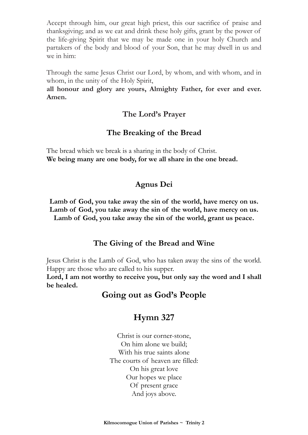Accept through him, our great high priest, this our sacrifice of praise and thanksgiving; and as we eat and drink these holy gifts, grant by the power of the life-giving Spirit that we may be made one in your holy Church and partakers of the body and blood of your Son, that he may dwell in us and we in him:

Through the same Jesus Christ our Lord, by whom, and with whom, and in whom, in the unity of the Holy Spirit,

#### **all honour and glory are yours, Almighty Father, for ever and ever. Amen.**

### **The Lord's Prayer**

## **The Breaking of the Bread**

The bread which we break is a sharing in the body of Christ. **We being many are one body, for we all share in the one bread.** 

## **Agnus Dei**

**Lamb of God, you take away the sin of the world, have mercy on us. Lamb of God, you take away the sin of the world, have mercy on us. Lamb of God, you take away the sin of the world, grant us peace.** 

### **The Giving of the Bread and Wine**

Jesus Christ is the Lamb of God, who has taken away the sins of the world. Happy are those who are called to his supper.

**Lord, I am not worthy to receive you, but only say the word and I shall be healed.** 

## **Going out as God's People**

# **Hymn 327**

Christ is our corner-stone, On him alone we build; With his true saints alone The courts of heaven are filled: On his great love Our hopes we place Of present grace And joys above.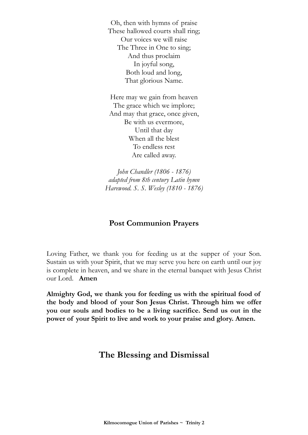Oh, then with hymns of praise These hallowed courts shall ring; Our voices we will raise The Three in One to sing; And thus proclaim In joyful song, Both loud and long, That glorious Name.

Here may we gain from heaven The grace which we implore; And may that grace, once given, Be with us evermore, Until that day When all the blest To endless rest Are called away.

*John Chandler (1806 - 1876) adapted from 8th century Latin hymn Harewood. S. S. Wesley (1810 - 1876)* 

### **Post Communion Prayers**

Loving Father, we thank you for feeding us at the supper of your Son. Sustain us with your Spirit, that we may serve you here on earth until our joy is complete in heaven, and we share in the eternal banquet with Jesus Christ our Lord. **Amen** 

**Almighty God, we thank you for feeding us with the spiritual food of the body and blood of your Son Jesus Christ. Through him we offer you our souls and bodies to be a living sacrifice. Send us out in the power of your Spirit to live and work to your praise and glory. Amen.** 

### **The Blessing and Dismissal**